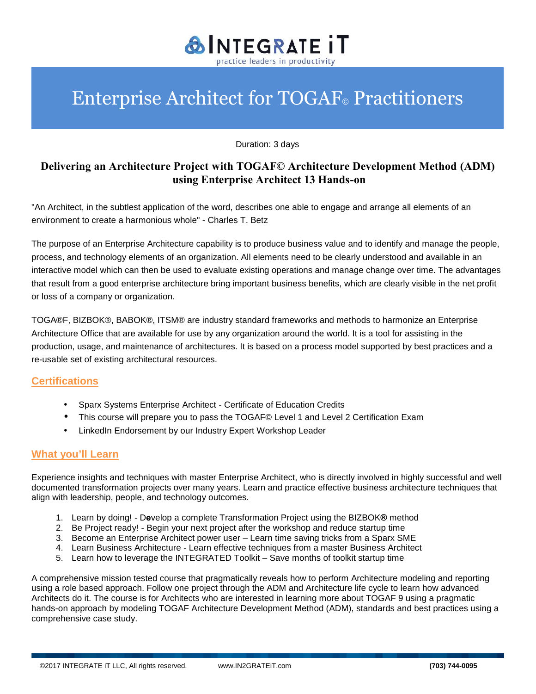

# Enterprise Architect for TOGAF© Practitioners

Duration: 3 days

## **Delivering an Architecture Project with TOGAF© Architecture Development Method (ADM) using Enterprise Architect 13 Hands-on**

"An Architect, in the subtlest application of the word, describes one able to engage and arrange all elements of an environment to create a harmonious whole" - Charles T. Betz

The purpose of an Enterprise Architecture capability is to produce business value and to identify and manage the people, process, and technology elements of an organization. All elements need to be clearly understood and available in an interactive model which can then be used to evaluate existing operations and manage change over time. The advantages that result from a good enterprise architecture bring important business benefits, which are clearly visible in the net profit or loss of a company or organization.

TOGA®F, BIZBOK®, BABOK®, ITSM® are industry standard frameworks and methods to harmonize an Enterprise Architecture Office that are available for use by any organization around the world. It is a tool for assisting in the production, usage, and maintenance of architectures. It is based on a process model supported by best practices and a re-usable set of existing architectural resources.

### **Certifications**

- Sparx Systems Enterprise Architect Certificate of Education Credits
- This course will prepare you to pass the TOGAF© Level 1 and Level 2 Certification Exam
- LinkedIn Endorsement by our Industry Expert Workshop Leader

### **What you'll Learn**

Experience insights and techniques with master Enterprise Architect, who is directly involved in highly successful and well documented transformation projects over many years. Learn and practice effective business architecture techniques that align with leadership, people, and technology outcomes.

- 1. Learn by doing! D**e**velop a complete Transformation Project using the BIZBOK**®** method
- 2. Be Project ready! Begin your next project after the workshop and reduce startup time
- 3. Become an Enterprise Architect power user Learn time saving tricks from a Sparx SME
- 4. Learn Business Architecture Learn effective techniques from a master Business Architect
- 5. Learn how to leverage the INTEGRATED Toolkit Save months of toolkit startup time

A comprehensive mission tested course that pragmatically reveals how to perform Architecture modeling and reporting using a role based approach. Follow one project through the ADM and Architecture life cycle to learn how advanced Architects do it. The course is for Architects who are interested in learning more about TOGAF 9 using a pragmatic hands-on approach by modeling TOGAF Architecture Development Method (ADM), standards and best practices using a comprehensive case study.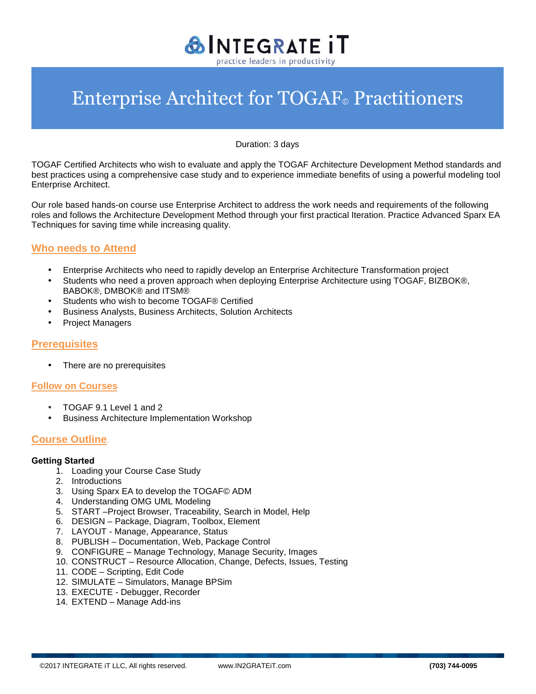

Duration: 3 days

TOGAF Certified Architects who wish to evaluate and apply the TOGAF Architecture Development Method standards and best practices using a comprehensive case study and to experience immediate benefits of using a powerful modeling tool Enterprise Architect.

Our role based hands-on course use Enterprise Architect to address the work needs and requirements of the following roles and follows the Architecture Development Method through your first practical Iteration. Practice Advanced Sparx EA Techniques for saving time while increasing quality.

### **Who needs to Attend**

- Enterprise Architects who need to rapidly develop an Enterprise Architecture Transformation project
- Students who need a proven approach when deploying Enterprise Architecture using TOGAF, BIZBOK®, BABOK®, DMBOK® and ITSM®
- Students who wish to become TOGAF® Certified
- Business Analysts, Business Architects, Solution Architects
- Project Managers

### **Prerequisites**

• There are no prerequisites

### **Follow on Courses**

- TOGAF 9.1 Level 1 and 2
- Business Architecture Implementation Workshop

### **Course Outline**.

### **Getting Started**

- 1. Loading your Course Case Study
- 2. Introductions
- 3. Using Sparx EA to develop the TOGAF© ADM
- 4. Understanding OMG UML Modeling
- 5. START –Project Browser, Traceability, Search in Model, Help
- 6. DESIGN Package, Diagram, Toolbox, Element
- 7. LAYOUT Manage, Appearance, Status
- 8. PUBLISH Documentation, Web, Package Control
- 9. CONFIGURE Manage Technology, Manage Security, Images
- 10. CONSTRUCT Resource Allocation, Change, Defects, Issues, Testing
- 11. CODE Scripting, Edit Code
- 12. SIMULATE Simulators, Manage BPSim
- 13. EXECUTE Debugger, Recorder
- 14. EXTEND Manage Add-ins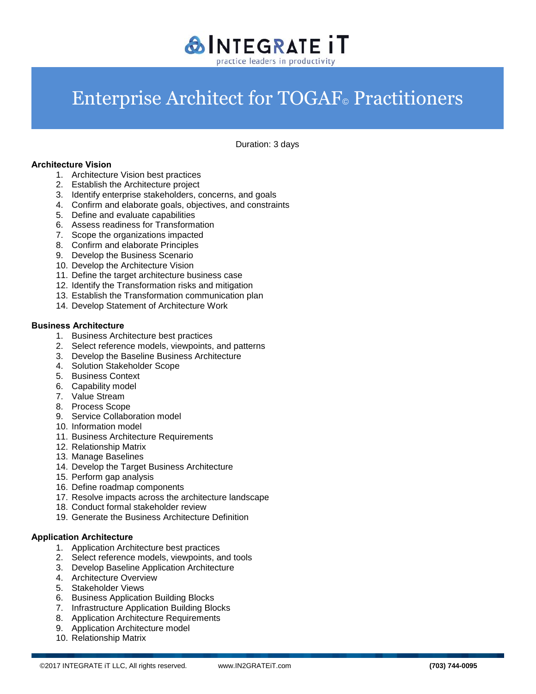

Duration: 3 days

### **Architecture Vision**

- 1. Architecture Vision best practices
- 2. Establish the Architecture project
- 3. Identify enterprise stakeholders, concerns, and goals
- 4. Confirm and elaborate goals, objectives, and constraints
- 5. Define and evaluate capabilities
- 6. Assess readiness for Transformation
- 7. Scope the organizations impacted
- 8. Confirm and elaborate Principles
- 9. Develop the Business Scenario
- 10. Develop the Architecture Vision
- 11. Define the target architecture business case
- 12. Identify the Transformation risks and mitigation
- 13. Establish the Transformation communication plan
- 14. Develop Statement of Architecture Work

### **Business Architecture**

- 1. Business Architecture best practices
- 2. Select reference models, viewpoints, and patterns
- 3. Develop the Baseline Business Architecture
- 4. Solution Stakeholder Scope
- 5. Business Context
- 6. Capability model
- 7. Value Stream
- 8. Process Scope
- 9. Service Collaboration model
- 10. Information model
- 11. Business Architecture Requirements
- 12. Relationship Matrix
- 13. Manage Baselines
- 14. Develop the Target Business Architecture
- 15. Perform gap analysis
- 16. Define roadmap components
- 17. Resolve impacts across the architecture landscape
- 18. Conduct formal stakeholder review
- 19. Generate the Business Architecture Definition

### **Application Architecture**

- 1. Application Architecture best practices
- 2. Select reference models, viewpoints, and tools
- 3. Develop Baseline Application Architecture
- 4. Architecture Overview
- 5. Stakeholder Views
- 6. Business Application Building Blocks
- 7. Infrastructure Application Building Blocks
- 8. Application Architecture Requirements
- 9. Application Architecture model
- 10. Relationship Matrix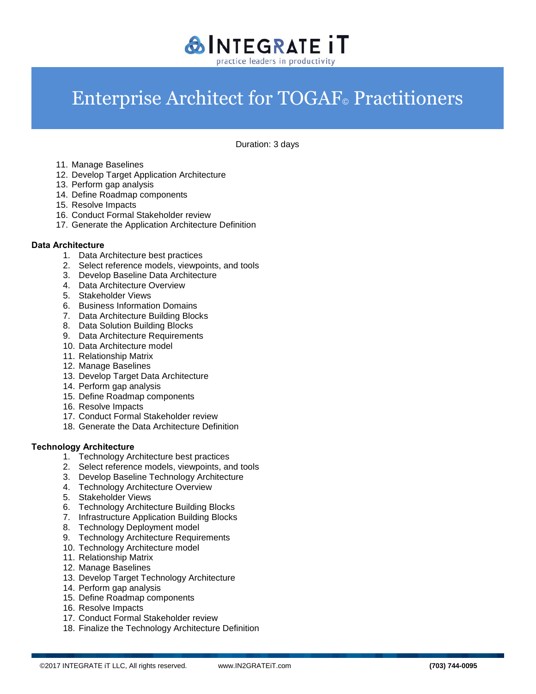

Duration: 3 days

- 11. Manage Baselines
- 12. Develop Target Application Architecture
- 13. Perform gap analysis
- 14. Define Roadmap components
- 15. Resolve Impacts
- 16. Conduct Formal Stakeholder review
- 17. Generate the Application Architecture Definition

### **Data Architecture**

- 1. Data Architecture best practices
- 2. Select reference models, viewpoints, and tools
- 3. Develop Baseline Data Architecture
- 4. Data Architecture Overview
- 5. Stakeholder Views
- 6. Business Information Domains
- 7. Data Architecture Building Blocks
- 8. Data Solution Building Blocks
- 9. Data Architecture Requirements
- 10. Data Architecture model
- 11. Relationship Matrix
- 12. Manage Baselines
- 13. Develop Target Data Architecture
- 14. Perform gap analysis
- 15. Define Roadmap components
- 16. Resolve Impacts
- 17. Conduct Formal Stakeholder review
- 18. Generate the Data Architecture Definition

### **Technology Architecture**

- 1. Technology Architecture best practices
- 2. Select reference models, viewpoints, and tools
- 3. Develop Baseline Technology Architecture
- 4. Technology Architecture Overview
- 5. Stakeholder Views
- 6. Technology Architecture Building Blocks
- 7. Infrastructure Application Building Blocks
- 8. Technology Deployment model
- 9. Technology Architecture Requirements
- 10. Technology Architecture model
- 11. Relationship Matrix
- 12. Manage Baselines
- 13. Develop Target Technology Architecture
- 14. Perform gap analysis
- 15. Define Roadmap components
- 16. Resolve Impacts
- 17. Conduct Formal Stakeholder review
- 18. Finalize the Technology Architecture Definition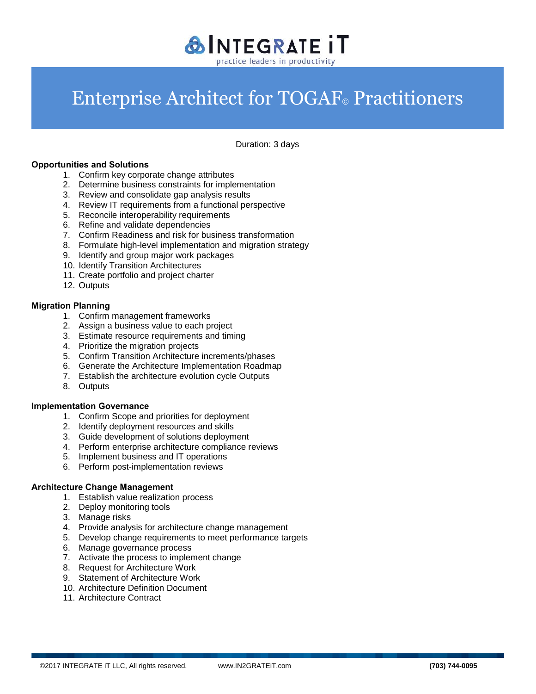

Duration: 3 days

### **Opportunities and Solutions**

- 1. Confirm key corporate change attributes
- 2. Determine business constraints for implementation
- 3. Review and consolidate gap analysis results
- 4. Review IT requirements from a functional perspective
- 5. Reconcile interoperability requirements
- 6. Refine and validate dependencies
- 7. Confirm Readiness and risk for business transformation
- 8. Formulate high-level implementation and migration strategy
- 9. Identify and group major work packages
- 10. Identify Transition Architectures
- 11. Create portfolio and project charter
- 12. Outputs

#### **Migration Planning**

- 1. Confirm management frameworks
- 2. Assign a business value to each project
- 3. Estimate resource requirements and timing
- 4. Prioritize the migration projects
- 5. Confirm Transition Architecture increments/phases
- 6. Generate the Architecture Implementation Roadmap
- 7. Establish the architecture evolution cycle Outputs
- 8. Outputs

### **Implementation Governance**

- 1. Confirm Scope and priorities for deployment
- 2. Identify deployment resources and skills
- 3. Guide development of solutions deployment
- 4. Perform enterprise architecture compliance reviews
- 5. Implement business and IT operations
- 6. Perform post-implementation reviews

#### **Architecture Change Management**

- 1. Establish value realization process
- 2. Deploy monitoring tools
- 3. Manage risks
- 4. Provide analysis for architecture change management
- 5. Develop change requirements to meet performance targets
- 6. Manage governance process
- 7. Activate the process to implement change
- 8. Request for Architecture Work
- 9. Statement of Architecture Work
- 10. Architecture Definition Document
- 11. Architecture Contract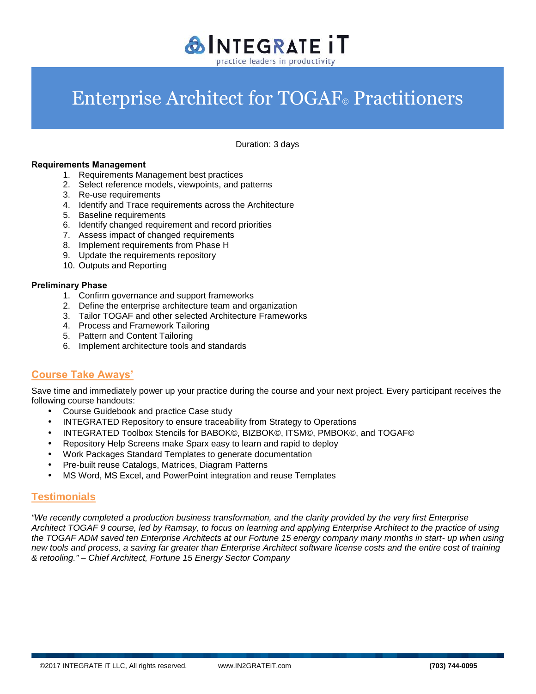

Duration: 3 days

#### **Requirements Management**

- 1. Requirements Management best practices
- 2. Select reference models, viewpoints, and patterns
- 3. Re-use requirements
- 4. Identify and Trace requirements across the Architecture
- 5. Baseline requirements
- 6. Identify changed requirement and record priorities
- 7. Assess impact of changed requirements
- 8. Implement requirements from Phase H
- 9. Update the requirements repository
- 10. Outputs and Reporting

#### **Preliminary Phase**

- 1. Confirm governance and support frameworks
- 2. Define the enterprise architecture team and organization
- 3. Tailor TOGAF and other selected Architecture Frameworks
- 4. Process and Framework Tailoring
- 5. Pattern and Content Tailoring
- 6. Implement architecture tools and standards

### **Course Take Aways'**

Save time and immediately power up your practice during the course and your next project. Every participant receives the following course handouts:

- Course Guidebook and practice Case study
- INTEGRATED Repository to ensure traceability from Strategy to Operations
- INTEGRATED Toolbox Stencils for BABOK©, BIZBOK©, ITSM©, PMBOK©, and TOGAF©
- Repository Help Screens make Sparx easy to learn and rapid to deploy
- Work Packages Standard Templates to generate documentation
- Pre-built reuse Catalogs, Matrices, Diagram Patterns
- MS Word, MS Excel, and PowerPoint integration and reuse Templates

### **Testimonials**

*"We recently completed a production business transformation, and the clarity provided by the very first Enterprise Architect TOGAF 9 course, led by Ramsay, to focus on learning and applying Enterprise Architect to the practice of using the TOGAF ADM saved ten Enterprise Architects at our Fortune 15 energy company many months in start- up when using new tools and process, a saving far greater than Enterprise Architect software license costs and the entire cost of training & retooling." – Chief Architect, Fortune 15 Energy Sector Company*